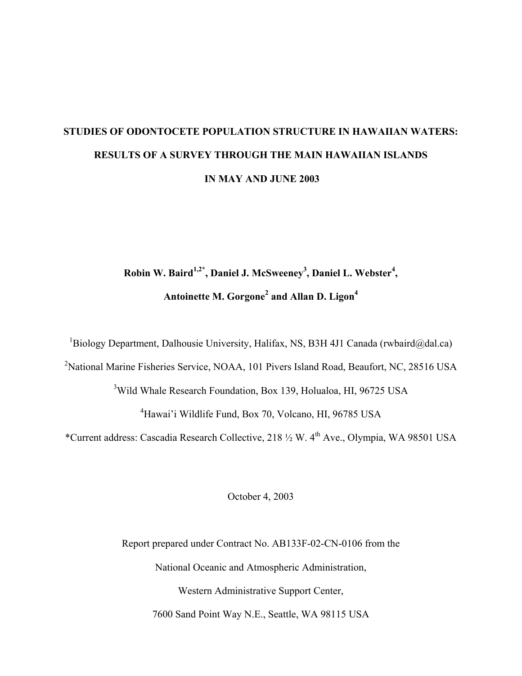# **STUDIES OF ODONTOCETE POPULATION STRUCTURE IN HAWAIIAN WATERS: RESULTS OF A SURVEY THROUGH THE MAIN HAWAIIAN ISLANDS IN MAY AND JUNE 2003**

# **Robin W. Baird1,2\*, Daniel J. McSweeney3 , Daniel L. Webster<sup>4</sup> , Antoinette M. Gorgone<sup>2</sup> and Allan D. Ligon<sup>4</sup>**

<sup>1</sup>Biology Department, Dalhousie University, Halifax, NS, B3H 4J1 Canada (rwbaird@dal.ca)

<sup>2</sup>National Marine Fisheries Service, NOAA, 101 Pivers Island Road, Beaufort, NC, 28516 USA

<sup>3</sup>Wild Whale Research Foundation, Box 139, Holualoa, HI, 96725 USA

4 Hawai'i Wildlife Fund, Box 70, Volcano, HI, 96785 USA

\*Current address: Cascadia Research Collective, 218 ½ W. 4th Ave., Olympia, WA 98501 USA

October 4, 2003

Report prepared under Contract No. AB133F-02-CN-0106 from the National Oceanic and Atmospheric Administration, Western Administrative Support Center, 7600 Sand Point Way N.E., Seattle, WA 98115 USA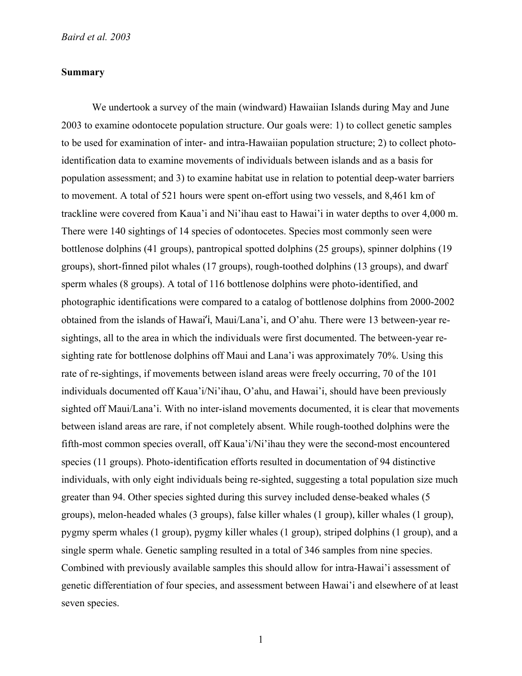# **Summary**

We undertook a survey of the main (windward) Hawaiian Islands during May and June 2003 to examine odontocete population structure. Our goals were: 1) to collect genetic samples to be used for examination of inter- and intra-Hawaiian population structure; 2) to collect photoidentification data to examine movements of individuals between islands and as a basis for population assessment; and 3) to examine habitat use in relation to potential deep-water barriers to movement. A total of 521 hours were spent on-effort using two vessels, and 8,461 km of trackline were covered from Kaua'i and Ni'ihau east to Hawai'i in water depths to over 4,000 m. There were 140 sightings of 14 species of odontocetes. Species most commonly seen were bottlenose dolphins (41 groups), pantropical spotted dolphins (25 groups), spinner dolphins (19 groups), short-finned pilot whales (17 groups), rough-toothed dolphins (13 groups), and dwarf sperm whales (8 groups). A total of 116 bottlenose dolphins were photo-identified, and photographic identifications were compared to a catalog of bottlenose dolphins from 2000-2002 obtained from the islands of Hawai'i, Maui/Lana'i, and O'ahu. There were 13 between-year resightings, all to the area in which the individuals were first documented. The between-year resighting rate for bottlenose dolphins off Maui and Lana'i was approximately 70%. Using this rate of re-sightings, if movements between island areas were freely occurring, 70 of the 101 individuals documented off Kaua'i/Ni'ihau, O'ahu, and Hawai'i, should have been previously sighted off Maui/Lana'i. With no inter-island movements documented, it is clear that movements between island areas are rare, if not completely absent. While rough-toothed dolphins were the fifth-most common species overall, off Kaua'i/Ni'ihau they were the second-most encountered species (11 groups). Photo-identification efforts resulted in documentation of 94 distinctive individuals, with only eight individuals being re-sighted, suggesting a total population size much greater than 94. Other species sighted during this survey included dense-beaked whales (5 groups), melon-headed whales (3 groups), false killer whales (1 group), killer whales (1 group), pygmy sperm whales (1 group), pygmy killer whales (1 group), striped dolphins (1 group), and a single sperm whale. Genetic sampling resulted in a total of 346 samples from nine species. Combined with previously available samples this should allow for intra-Hawai'i assessment of genetic differentiation of four species, and assessment between Hawai'i and elsewhere of at least seven species.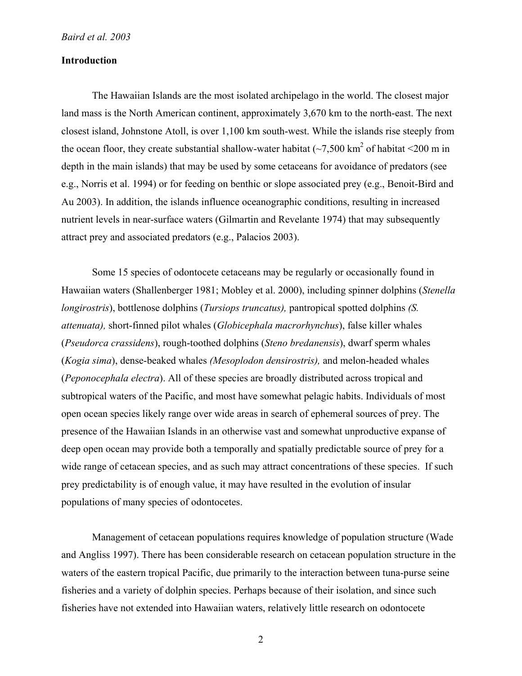# **Introduction**

The Hawaiian Islands are the most isolated archipelago in the world. The closest major land mass is the North American continent, approximately 3,670 km to the north-east. The next closest island, Johnstone Atoll, is over 1,100 km south-west. While the islands rise steeply from the ocean floor, they create substantial shallow-water habitat  $\left(\sim 7,500 \text{ km}^2\right)$  of habitat  $\leq 200 \text{ m}$  in depth in the main islands) that may be used by some cetaceans for avoidance of predators (see e.g., Norris et al. 1994) or for feeding on benthic or slope associated prey (e.g., Benoit-Bird and Au 2003). In addition, the islands influence oceanographic conditions, resulting in increased nutrient levels in near-surface waters (Gilmartin and Revelante 1974) that may subsequently attract prey and associated predators (e.g., Palacios 2003).

Some 15 species of odontocete cetaceans may be regularly or occasionally found in Hawaiian waters (Shallenberger 1981; Mobley et al. 2000), including spinner dolphins (*Stenella longirostris*), bottlenose dolphins (*Tursiops truncatus),* pantropical spotted dolphins *(S. attenuata),* short-finned pilot whales (*Globicephala macrorhynchus*), false killer whales (*Pseudorca crassidens*), rough-toothed dolphins (*Steno bredanensis*), dwarf sperm whales (*Kogia sima*), dense-beaked whales *(Mesoplodon densirostris),* and melon-headed whales (*Peponocephala electra*). All of these species are broadly distributed across tropical and subtropical waters of the Pacific, and most have somewhat pelagic habits. Individuals of most open ocean species likely range over wide areas in search of ephemeral sources of prey. The presence of the Hawaiian Islands in an otherwise vast and somewhat unproductive expanse of deep open ocean may provide both a temporally and spatially predictable source of prey for a wide range of cetacean species, and as such may attract concentrations of these species. If such prey predictability is of enough value, it may have resulted in the evolution of insular populations of many species of odontocetes.

Management of cetacean populations requires knowledge of population structure (Wade and Angliss 1997). There has been considerable research on cetacean population structure in the waters of the eastern tropical Pacific, due primarily to the interaction between tuna-purse seine fisheries and a variety of dolphin species. Perhaps because of their isolation, and since such fisheries have not extended into Hawaiian waters, relatively little research on odontocete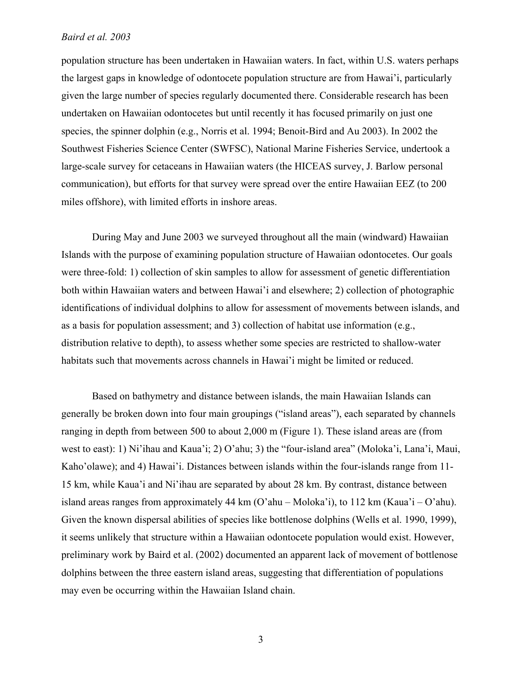population structure has been undertaken in Hawaiian waters. In fact, within U.S. waters perhaps the largest gaps in knowledge of odontocete population structure are from Hawai'i, particularly given the large number of species regularly documented there. Considerable research has been undertaken on Hawaiian odontocetes but until recently it has focused primarily on just one species, the spinner dolphin (e.g., Norris et al. 1994; Benoit-Bird and Au 2003). In 2002 the Southwest Fisheries Science Center (SWFSC), National Marine Fisheries Service, undertook a large-scale survey for cetaceans in Hawaiian waters (the HICEAS survey, J. Barlow personal communication), but efforts for that survey were spread over the entire Hawaiian EEZ (to 200 miles offshore), with limited efforts in inshore areas.

During May and June 2003 we surveyed throughout all the main (windward) Hawaiian Islands with the purpose of examining population structure of Hawaiian odontocetes. Our goals were three-fold: 1) collection of skin samples to allow for assessment of genetic differentiation both within Hawaiian waters and between Hawai'i and elsewhere; 2) collection of photographic identifications of individual dolphins to allow for assessment of movements between islands, and as a basis for population assessment; and 3) collection of habitat use information (e.g., distribution relative to depth), to assess whether some species are restricted to shallow-water habitats such that movements across channels in Hawai'i might be limited or reduced.

Based on bathymetry and distance between islands, the main Hawaiian Islands can generally be broken down into four main groupings ("island areas"), each separated by channels ranging in depth from between 500 to about 2,000 m (Figure 1). These island areas are (from west to east): 1) Ni'ihau and Kaua'i; 2) O'ahu; 3) the "four-island area" (Moloka'i, Lana'i, Maui, Kaho'olawe); and 4) Hawai'i. Distances between islands within the four-islands range from 11- 15 km, while Kaua'i and Ni'ihau are separated by about 28 km. By contrast, distance between island areas ranges from approximately 44 km (O'ahu – Moloka'i), to 112 km (Kaua'i – O'ahu). Given the known dispersal abilities of species like bottlenose dolphins (Wells et al. 1990, 1999), it seems unlikely that structure within a Hawaiian odontocete population would exist. However, preliminary work by Baird et al. (2002) documented an apparent lack of movement of bottlenose dolphins between the three eastern island areas, suggesting that differentiation of populations may even be occurring within the Hawaiian Island chain.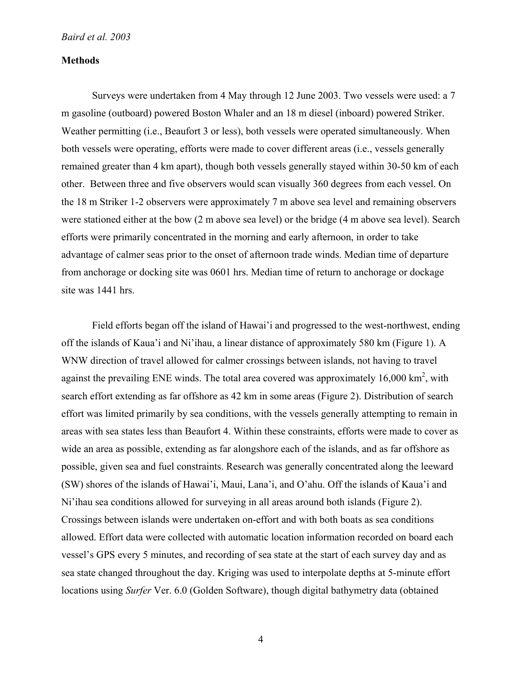## **Methods**

Surveys were undertaken from 4 May through 12 June 2003. Two vessels were used: a 7 m gasoline (outboard) powered Boston Whaler and an 18 m diesel (inboard) powered Striker. Weather permitting (i.e., Beaufort 3 or less), both vessels were operated simultaneously. When both vessels were operating, efforts were made to cover different areas (i.e., vessels generally remained greater than 4 km apart), though both vessels generally stayed within 30-50 km of each other. Between three and five observers would scan visually 360 degrees from each vessel. On the 18 m Striker 1-2 observers were approximately 7 m above sea level and remaining observers were stationed either at the bow (2 m above sea level) or the bridge (4 m above sea level). Search efforts were primarily concentrated in the morning and early afternoon, in order to take advantage of calmer seas prior to the onset of afternoon trade winds. Median time of departure from anchorage or docking site was 0601 hrs. Median time of return to anchorage or dockage site was 1441 hrs.

Field efforts began off the island of Hawai'i and progressed to the west-northwest, ending off the islands of Kaua'i and Ni'ihau, a linear distance of approximately 580 km (Figure 1). A WNW direction of travel allowed for calmer crossings between islands, not having to travel against the prevailing ENE winds. The total area covered was approximately  $16,000 \text{ km}^2$ , with search effort extending as far offshore as 42 km in some areas (Figure 2). Distribution of search effort was limited primarily by sea conditions, with the vessels generally attempting to remain in areas with sea states less than Beaufort 4. Within these constraints, efforts were made to cover as wide an area as possible, extending as far alongshore each of the islands, and as far offshore as possible, given sea and fuel constraints. Research was generally concentrated along the leeward (SW) shores of the islands of Hawai'i, Maui, Lana'i, and O'ahu. Off the islands of Kaua'i and Ni'ihau sea conditions allowed for surveying in all areas around both islands (Figure 2). Crossings between islands were undertaken on-effort and with both boats as sea conditions allowed. Effort data were collected with automatic location information recorded on board each vessel's GPS every 5 minutes, and recording of sea state at the start of each survey day and as sea state changed throughout the day. Kriging was used to interpolate depths at 5-minute effort locations using *Surfer* Ver. 6.0 (Golden Software), though digital bathymetry data (obtained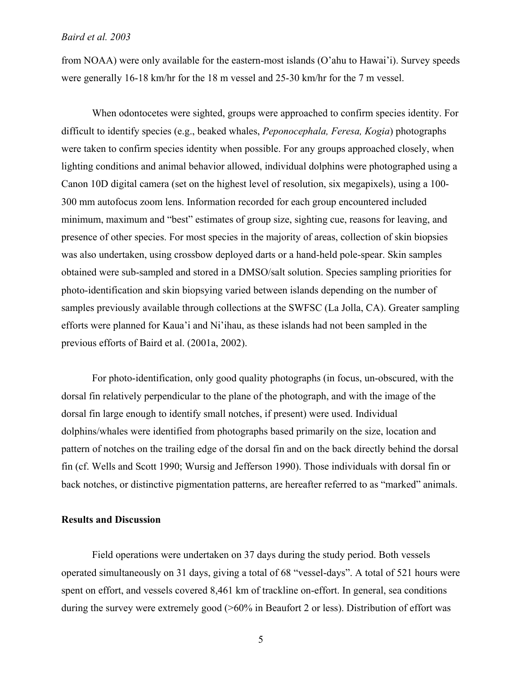from NOAA) were only available for the eastern-most islands (O'ahu to Hawai'i). Survey speeds were generally 16-18 km/hr for the 18 m vessel and 25-30 km/hr for the 7 m vessel.

When odontocetes were sighted, groups were approached to confirm species identity. For difficult to identify species (e.g., beaked whales, *Peponocephala, Feresa, Kogia*) photographs were taken to confirm species identity when possible. For any groups approached closely, when lighting conditions and animal behavior allowed, individual dolphins were photographed using a Canon 10D digital camera (set on the highest level of resolution, six megapixels), using a 100- 300 mm autofocus zoom lens. Information recorded for each group encountered included minimum, maximum and "best" estimates of group size, sighting cue, reasons for leaving, and presence of other species. For most species in the majority of areas, collection of skin biopsies was also undertaken, using crossbow deployed darts or a hand-held pole-spear. Skin samples obtained were sub-sampled and stored in a DMSO/salt solution. Species sampling priorities for photo-identification and skin biopsying varied between islands depending on the number of samples previously available through collections at the SWFSC (La Jolla, CA). Greater sampling efforts were planned for Kaua'i and Ni'ihau, as these islands had not been sampled in the previous efforts of Baird et al. (2001a, 2002).

For photo-identification, only good quality photographs (in focus, un-obscured, with the dorsal fin relatively perpendicular to the plane of the photograph, and with the image of the dorsal fin large enough to identify small notches, if present) were used. Individual dolphins/whales were identified from photographs based primarily on the size, location and pattern of notches on the trailing edge of the dorsal fin and on the back directly behind the dorsal fin (cf. Wells and Scott 1990; Wursig and Jefferson 1990). Those individuals with dorsal fin or back notches, or distinctive pigmentation patterns, are hereafter referred to as "marked" animals.

### **Results and Discussion**

Field operations were undertaken on 37 days during the study period. Both vessels operated simultaneously on 31 days, giving a total of 68 "vessel-days". A total of 521 hours were spent on effort, and vessels covered 8,461 km of trackline on-effort. In general, sea conditions during the survey were extremely good (>60% in Beaufort 2 or less). Distribution of effort was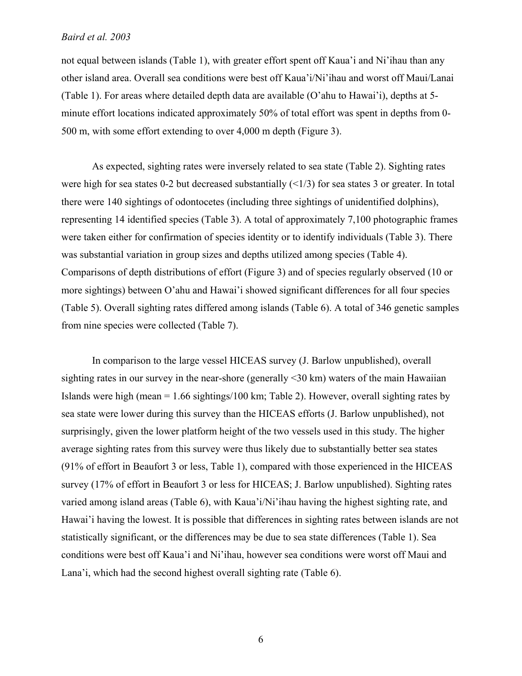not equal between islands (Table 1), with greater effort spent off Kaua'i and Ni'ihau than any other island area. Overall sea conditions were best off Kaua'i/Ni'ihau and worst off Maui/Lanai (Table 1). For areas where detailed depth data are available (O'ahu to Hawai'i), depths at 5 minute effort locations indicated approximately 50% of total effort was spent in depths from 0- 500 m, with some effort extending to over 4,000 m depth (Figure 3).

As expected, sighting rates were inversely related to sea state (Table 2). Sighting rates were high for sea states 0-2 but decreased substantially  $(\leq 1/3)$  for sea states 3 or greater. In total there were 140 sightings of odontocetes (including three sightings of unidentified dolphins), representing 14 identified species (Table 3). A total of approximately 7,100 photographic frames were taken either for confirmation of species identity or to identify individuals (Table 3). There was substantial variation in group sizes and depths utilized among species (Table 4). Comparisons of depth distributions of effort (Figure 3) and of species regularly observed (10 or more sightings) between O'ahu and Hawai'i showed significant differences for all four species (Table 5). Overall sighting rates differed among islands (Table 6). A total of 346 genetic samples from nine species were collected (Table 7).

In comparison to the large vessel HICEAS survey (J. Barlow unpublished), overall sighting rates in our survey in the near-shore (generally <30 km) waters of the main Hawaiian Islands were high (mean = 1.66 sightings/100 km; Table 2). However, overall sighting rates by sea state were lower during this survey than the HICEAS efforts (J. Barlow unpublished), not surprisingly, given the lower platform height of the two vessels used in this study. The higher average sighting rates from this survey were thus likely due to substantially better sea states (91% of effort in Beaufort 3 or less, Table 1), compared with those experienced in the HICEAS survey (17% of effort in Beaufort 3 or less for HICEAS; J. Barlow unpublished). Sighting rates varied among island areas (Table 6), with Kaua'i/Ni'ihau having the highest sighting rate, and Hawai'i having the lowest. It is possible that differences in sighting rates between islands are not statistically significant, or the differences may be due to sea state differences (Table 1). Sea conditions were best off Kaua'i and Ni'ihau, however sea conditions were worst off Maui and Lana'i, which had the second highest overall sighting rate (Table 6).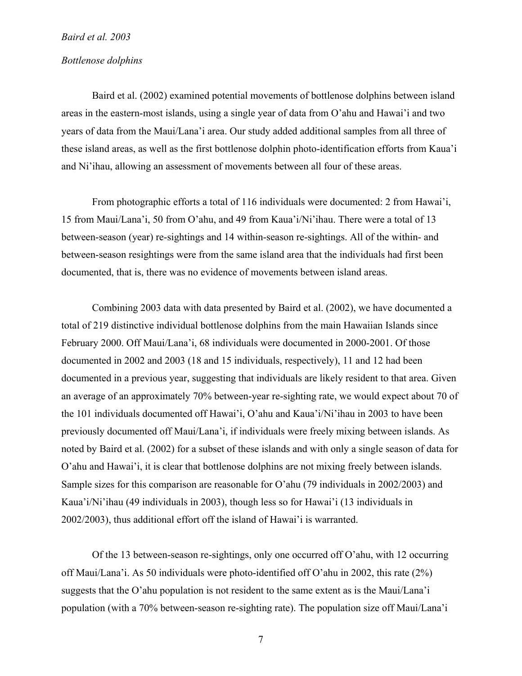## *Bottlenose dolphins*

Baird et al. (2002) examined potential movements of bottlenose dolphins between island areas in the eastern-most islands, using a single year of data from O'ahu and Hawai'i and two years of data from the Maui/Lana'i area. Our study added additional samples from all three of these island areas, as well as the first bottlenose dolphin photo-identification efforts from Kaua'i and Ni'ihau, allowing an assessment of movements between all four of these areas.

From photographic efforts a total of 116 individuals were documented: 2 from Hawai'i, 15 from Maui/Lana'i, 50 from O'ahu, and 49 from Kaua'i/Ni'ihau. There were a total of 13 between-season (year) re-sightings and 14 within-season re-sightings. All of the within- and between-season resightings were from the same island area that the individuals had first been documented, that is, there was no evidence of movements between island areas.

Combining 2003 data with data presented by Baird et al. (2002), we have documented a total of 219 distinctive individual bottlenose dolphins from the main Hawaiian Islands since February 2000. Off Maui/Lana'i, 68 individuals were documented in 2000-2001. Of those documented in 2002 and 2003 (18 and 15 individuals, respectively), 11 and 12 had been documented in a previous year, suggesting that individuals are likely resident to that area. Given an average of an approximately 70% between-year re-sighting rate, we would expect about 70 of the 101 individuals documented off Hawai'i, O'ahu and Kaua'i/Ni'ihau in 2003 to have been previously documented off Maui/Lana'i, if individuals were freely mixing between islands. As noted by Baird et al. (2002) for a subset of these islands and with only a single season of data for O'ahu and Hawai'i, it is clear that bottlenose dolphins are not mixing freely between islands. Sample sizes for this comparison are reasonable for O'ahu (79 individuals in 2002/2003) and Kaua'i/Ni'ihau (49 individuals in 2003), though less so for Hawai'i (13 individuals in 2002/2003), thus additional effort off the island of Hawai'i is warranted.

Of the 13 between-season re-sightings, only one occurred off O'ahu, with 12 occurring off Maui/Lana'i. As 50 individuals were photo-identified off O'ahu in 2002, this rate (2%) suggests that the O'ahu population is not resident to the same extent as is the Maui/Lana'i population (with a 70% between-season re-sighting rate). The population size off Maui/Lana'i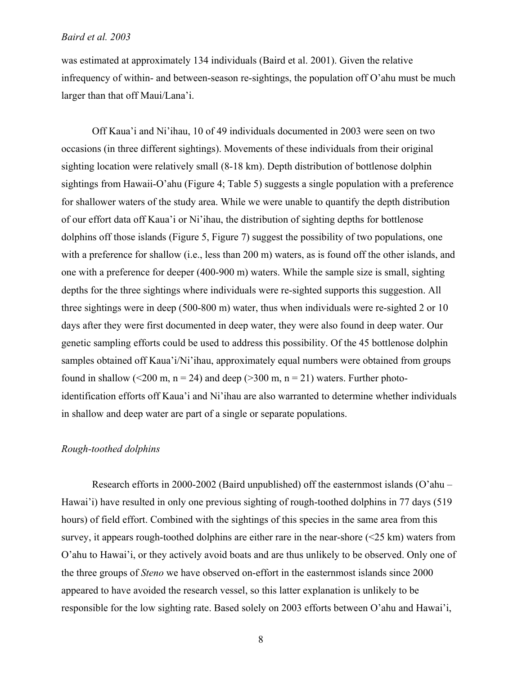was estimated at approximately 134 individuals (Baird et al. 2001). Given the relative infrequency of within- and between-season re-sightings, the population off O'ahu must be much larger than that off Maui/Lana'i.

Off Kaua'i and Ni'ihau, 10 of 49 individuals documented in 2003 were seen on two occasions (in three different sightings). Movements of these individuals from their original sighting location were relatively small (8-18 km). Depth distribution of bottlenose dolphin sightings from Hawaii-O'ahu (Figure 4; Table 5) suggests a single population with a preference for shallower waters of the study area. While we were unable to quantify the depth distribution of our effort data off Kaua'i or Ni'ihau, the distribution of sighting depths for bottlenose dolphins off those islands (Figure 5, Figure 7) suggest the possibility of two populations, one with a preference for shallow (i.e., less than 200 m) waters, as is found off the other islands, and one with a preference for deeper (400-900 m) waters. While the sample size is small, sighting depths for the three sightings where individuals were re-sighted supports this suggestion. All three sightings were in deep (500-800 m) water, thus when individuals were re-sighted 2 or 10 days after they were first documented in deep water, they were also found in deep water. Our genetic sampling efforts could be used to address this possibility. Of the 45 bottlenose dolphin samples obtained off Kaua'i/Ni'ihau, approximately equal numbers were obtained from groups found in shallow (<200 m, n = 24) and deep (>300 m, n = 21) waters. Further photoidentification efforts off Kaua'i and Ni'ihau are also warranted to determine whether individuals in shallow and deep water are part of a single or separate populations.

# *Rough-toothed dolphins*

Research efforts in 2000-2002 (Baird unpublished) off the easternmost islands (O'ahu – Hawai'i) have resulted in only one previous sighting of rough-toothed dolphins in 77 days (519 hours) of field effort. Combined with the sightings of this species in the same area from this survey, it appears rough-toothed dolphins are either rare in the near-shore (<25 km) waters from O'ahu to Hawai'i, or they actively avoid boats and are thus unlikely to be observed. Only one of the three groups of *Steno* we have observed on-effort in the easternmost islands since 2000 appeared to have avoided the research vessel, so this latter explanation is unlikely to be responsible for the low sighting rate. Based solely on 2003 efforts between O'ahu and Hawai'i,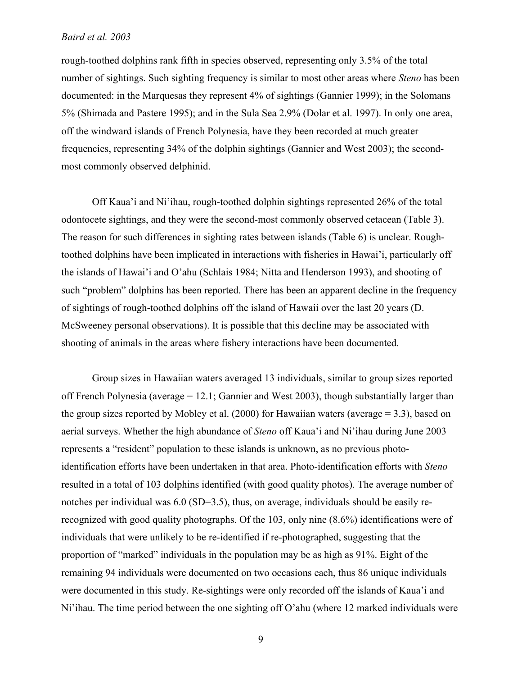rough-toothed dolphins rank fifth in species observed, representing only 3.5% of the total number of sightings. Such sighting frequency is similar to most other areas where *Steno* has been documented: in the Marquesas they represent 4% of sightings (Gannier 1999); in the Solomans 5% (Shimada and Pastere 1995); and in the Sula Sea 2.9% (Dolar et al. 1997). In only one area, off the windward islands of French Polynesia, have they been recorded at much greater frequencies, representing 34% of the dolphin sightings (Gannier and West 2003); the secondmost commonly observed delphinid.

Off Kaua'i and Ni'ihau, rough-toothed dolphin sightings represented 26% of the total odontocete sightings, and they were the second-most commonly observed cetacean (Table 3). The reason for such differences in sighting rates between islands (Table 6) is unclear. Roughtoothed dolphins have been implicated in interactions with fisheries in Hawai'i, particularly off the islands of Hawai'i and O'ahu (Schlais 1984; Nitta and Henderson 1993), and shooting of such "problem" dolphins has been reported. There has been an apparent decline in the frequency of sightings of rough-toothed dolphins off the island of Hawaii over the last 20 years (D. McSweeney personal observations). It is possible that this decline may be associated with shooting of animals in the areas where fishery interactions have been documented.

Group sizes in Hawaiian waters averaged 13 individuals, similar to group sizes reported off French Polynesia (average  $= 12.1$ ; Gannier and West 2003), though substantially larger than the group sizes reported by Mobley et al.  $(2000)$  for Hawaiian waters (average = 3.3), based on aerial surveys. Whether the high abundance of *Steno* off Kaua'i and Ni'ihau during June 2003 represents a "resident" population to these islands is unknown, as no previous photoidentification efforts have been undertaken in that area. Photo-identification efforts with *Steno* resulted in a total of 103 dolphins identified (with good quality photos). The average number of notches per individual was 6.0 (SD=3.5), thus, on average, individuals should be easily rerecognized with good quality photographs. Of the 103, only nine (8.6%) identifications were of individuals that were unlikely to be re-identified if re-photographed, suggesting that the proportion of "marked" individuals in the population may be as high as 91%. Eight of the remaining 94 individuals were documented on two occasions each, thus 86 unique individuals were documented in this study. Re-sightings were only recorded off the islands of Kaua'i and Ni'ihau. The time period between the one sighting off O'ahu (where 12 marked individuals were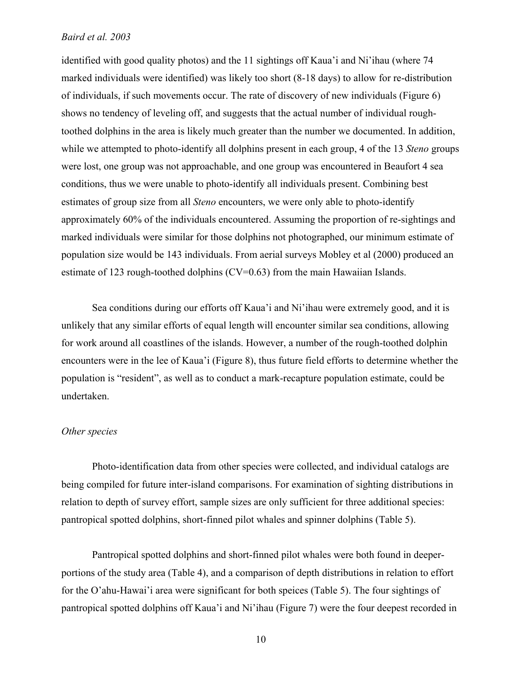identified with good quality photos) and the 11 sightings off Kaua'i and Ni'ihau (where 74 marked individuals were identified) was likely too short (8-18 days) to allow for re-distribution of individuals, if such movements occur. The rate of discovery of new individuals (Figure 6) shows no tendency of leveling off, and suggests that the actual number of individual roughtoothed dolphins in the area is likely much greater than the number we documented. In addition, while we attempted to photo-identify all dolphins present in each group, 4 of the 13 *Steno* groups were lost, one group was not approachable, and one group was encountered in Beaufort 4 sea conditions, thus we were unable to photo-identify all individuals present. Combining best estimates of group size from all *Steno* encounters, we were only able to photo-identify approximately 60% of the individuals encountered. Assuming the proportion of re-sightings and marked individuals were similar for those dolphins not photographed, our minimum estimate of population size would be 143 individuals. From aerial surveys Mobley et al (2000) produced an estimate of 123 rough-toothed dolphins (CV=0.63) from the main Hawaiian Islands.

Sea conditions during our efforts off Kaua'i and Ni'ihau were extremely good, and it is unlikely that any similar efforts of equal length will encounter similar sea conditions, allowing for work around all coastlines of the islands. However, a number of the rough-toothed dolphin encounters were in the lee of Kaua'i (Figure 8), thus future field efforts to determine whether the population is "resident", as well as to conduct a mark-recapture population estimate, could be undertaken.

# *Other species*

Photo-identification data from other species were collected, and individual catalogs are being compiled for future inter-island comparisons. For examination of sighting distributions in relation to depth of survey effort, sample sizes are only sufficient for three additional species: pantropical spotted dolphins, short-finned pilot whales and spinner dolphins (Table 5).

Pantropical spotted dolphins and short-finned pilot whales were both found in deeperportions of the study area (Table 4), and a comparison of depth distributions in relation to effort for the O'ahu-Hawai'i area were significant for both speices (Table 5). The four sightings of pantropical spotted dolphins off Kaua'i and Ni'ihau (Figure 7) were the four deepest recorded in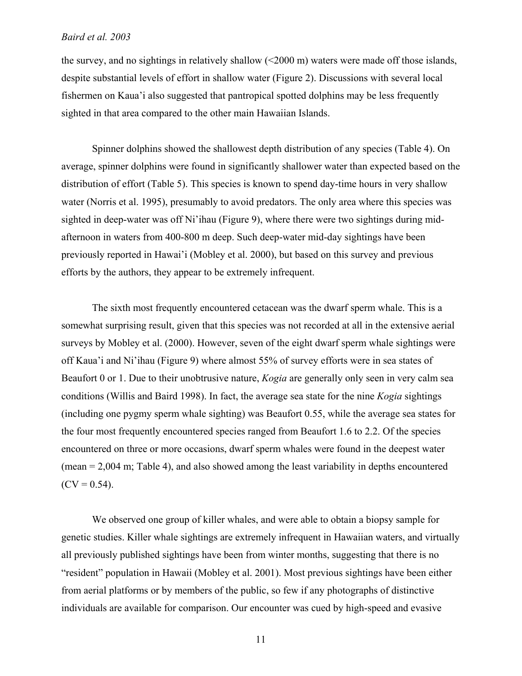the survey, and no sightings in relatively shallow (<2000 m) waters were made off those islands, despite substantial levels of effort in shallow water (Figure 2). Discussions with several local fishermen on Kaua'i also suggested that pantropical spotted dolphins may be less frequently sighted in that area compared to the other main Hawaiian Islands.

Spinner dolphins showed the shallowest depth distribution of any species (Table 4). On average, spinner dolphins were found in significantly shallower water than expected based on the distribution of effort (Table 5). This species is known to spend day-time hours in very shallow water (Norris et al. 1995), presumably to avoid predators. The only area where this species was sighted in deep-water was off Ni'ihau (Figure 9), where there were two sightings during midafternoon in waters from 400-800 m deep. Such deep-water mid-day sightings have been previously reported in Hawai'i (Mobley et al. 2000), but based on this survey and previous efforts by the authors, they appear to be extremely infrequent.

The sixth most frequently encountered cetacean was the dwarf sperm whale. This is a somewhat surprising result, given that this species was not recorded at all in the extensive aerial surveys by Mobley et al. (2000). However, seven of the eight dwarf sperm whale sightings were off Kaua'i and Ni'ihau (Figure 9) where almost 55% of survey efforts were in sea states of Beaufort 0 or 1. Due to their unobtrusive nature, *Kogia* are generally only seen in very calm sea conditions (Willis and Baird 1998). In fact, the average sea state for the nine *Kogia* sightings (including one pygmy sperm whale sighting) was Beaufort 0.55, while the average sea states for the four most frequently encountered species ranged from Beaufort 1.6 to 2.2. Of the species encountered on three or more occasions, dwarf sperm whales were found in the deepest water (mean = 2,004 m; Table 4), and also showed among the least variability in depths encountered  $(CV = 0.54)$ .

We observed one group of killer whales, and were able to obtain a biopsy sample for genetic studies. Killer whale sightings are extremely infrequent in Hawaiian waters, and virtually all previously published sightings have been from winter months, suggesting that there is no "resident" population in Hawaii (Mobley et al. 2001). Most previous sightings have been either from aerial platforms or by members of the public, so few if any photographs of distinctive individuals are available for comparison. Our encounter was cued by high-speed and evasive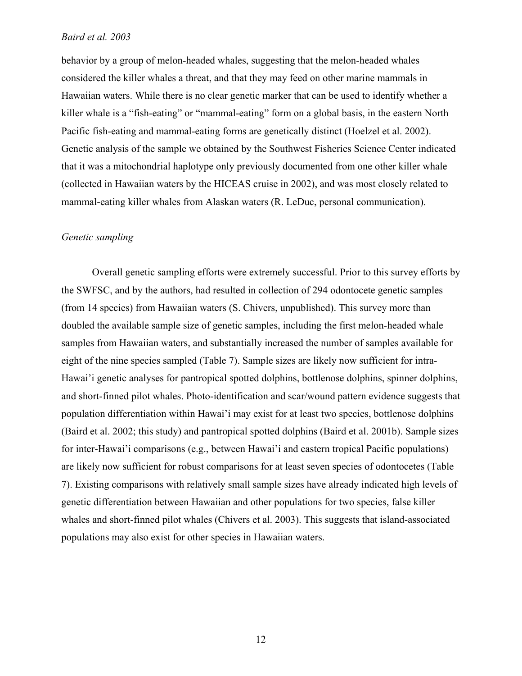behavior by a group of melon-headed whales, suggesting that the melon-headed whales considered the killer whales a threat, and that they may feed on other marine mammals in Hawaiian waters. While there is no clear genetic marker that can be used to identify whether a killer whale is a "fish-eating" or "mammal-eating" form on a global basis, in the eastern North Pacific fish-eating and mammal-eating forms are genetically distinct (Hoelzel et al. 2002). Genetic analysis of the sample we obtained by the Southwest Fisheries Science Center indicated that it was a mitochondrial haplotype only previously documented from one other killer whale (collected in Hawaiian waters by the HICEAS cruise in 2002), and was most closely related to mammal-eating killer whales from Alaskan waters (R. LeDuc, personal communication).

# *Genetic sampling*

Overall genetic sampling efforts were extremely successful. Prior to this survey efforts by the SWFSC, and by the authors, had resulted in collection of 294 odontocete genetic samples (from 14 species) from Hawaiian waters (S. Chivers, unpublished). This survey more than doubled the available sample size of genetic samples, including the first melon-headed whale samples from Hawaiian waters, and substantially increased the number of samples available for eight of the nine species sampled (Table 7). Sample sizes are likely now sufficient for intra-Hawai'i genetic analyses for pantropical spotted dolphins, bottlenose dolphins, spinner dolphins, and short-finned pilot whales. Photo-identification and scar/wound pattern evidence suggests that population differentiation within Hawai'i may exist for at least two species, bottlenose dolphins (Baird et al. 2002; this study) and pantropical spotted dolphins (Baird et al. 2001b). Sample sizes for inter-Hawai'i comparisons (e.g., between Hawai'i and eastern tropical Pacific populations) are likely now sufficient for robust comparisons for at least seven species of odontocetes (Table 7). Existing comparisons with relatively small sample sizes have already indicated high levels of genetic differentiation between Hawaiian and other populations for two species, false killer whales and short-finned pilot whales (Chivers et al. 2003). This suggests that island-associated populations may also exist for other species in Hawaiian waters.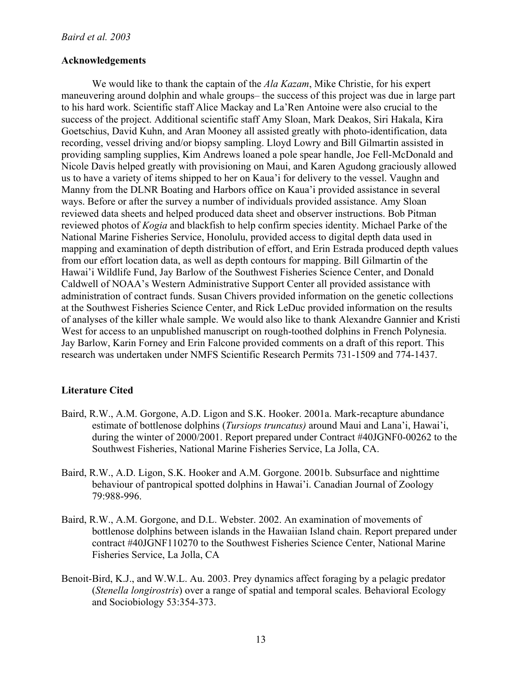# **Acknowledgements**

We would like to thank the captain of the *Ala Kazam*, Mike Christie, for his expert maneuvering around dolphin and whale groups– the success of this project was due in large part to his hard work. Scientific staff Alice Mackay and La'Ren Antoine were also crucial to the success of the project. Additional scientific staff Amy Sloan, Mark Deakos, Siri Hakala, Kira Goetschius, David Kuhn, and Aran Mooney all assisted greatly with photo-identification, data recording, vessel driving and/or biopsy sampling. Lloyd Lowry and Bill Gilmartin assisted in providing sampling supplies, Kim Andrews loaned a pole spear handle, Joe Fell-McDonald and Nicole Davis helped greatly with provisioning on Maui, and Karen Agudong graciously allowed us to have a variety of items shipped to her on Kaua'i for delivery to the vessel. Vaughn and Manny from the DLNR Boating and Harbors office on Kaua'i provided assistance in several ways. Before or after the survey a number of individuals provided assistance. Amy Sloan reviewed data sheets and helped produced data sheet and observer instructions. Bob Pitman reviewed photos of *Kogia* and blackfish to help confirm species identity. Michael Parke of the National Marine Fisheries Service, Honolulu, provided access to digital depth data used in mapping and examination of depth distribution of effort, and Erin Estrada produced depth values from our effort location data, as well as depth contours for mapping. Bill Gilmartin of the Hawai'i Wildlife Fund, Jay Barlow of the Southwest Fisheries Science Center, and Donald Caldwell of NOAA's Western Administrative Support Center all provided assistance with administration of contract funds. Susan Chivers provided information on the genetic collections at the Southwest Fisheries Science Center, and Rick LeDuc provided information on the results of analyses of the killer whale sample. We would also like to thank Alexandre Gannier and Kristi West for access to an unpublished manuscript on rough-toothed dolphins in French Polynesia. Jay Barlow, Karin Forney and Erin Falcone provided comments on a draft of this report. This research was undertaken under NMFS Scientific Research Permits 731-1509 and 774-1437.

# **Literature Cited**

- Baird, R.W., A.M. Gorgone, A.D. Ligon and S.K. Hooker. 2001a. Mark-recapture abundance estimate of bottlenose dolphins (*Tursiops truncatus)* around Maui and Lana'i, Hawai'i, during the winter of 2000/2001. Report prepared under Contract #40JGNF0-00262 to the Southwest Fisheries, National Marine Fisheries Service, La Jolla, CA.
- Baird, R.W., A.D. Ligon, S.K. Hooker and A.M. Gorgone. 2001b. Subsurface and nighttime behaviour of pantropical spotted dolphins in Hawai'i. Canadian Journal of Zoology 79:988-996.
- Baird, R.W., A.M. Gorgone, and D.L. Webster. 2002. An examination of movements of bottlenose dolphins between islands in the Hawaiian Island chain. Report prepared under contract #40JGNF110270 to the Southwest Fisheries Science Center, National Marine Fisheries Service, La Jolla, CA
- Benoit-Bird, K.J., and W.W.L. Au. 2003. Prey dynamics affect foraging by a pelagic predator (*Stenella longirostris*) over a range of spatial and temporal scales. Behavioral Ecology and Sociobiology 53:354-373.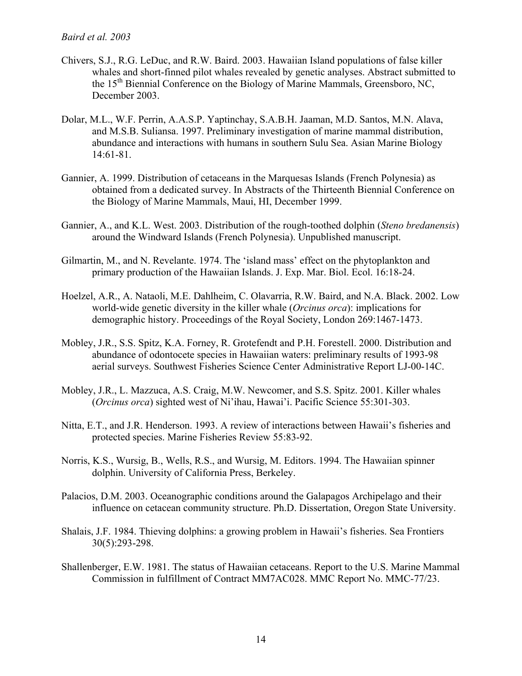- Chivers, S.J., R.G. LeDuc, and R.W. Baird. 2003. Hawaiian Island populations of false killer whales and short-finned pilot whales revealed by genetic analyses. Abstract submitted to the 15<sup>th</sup> Biennial Conference on the Biology of Marine Mammals, Greensboro, NC, December 2003.
- Dolar, M.L., W.F. Perrin, A.A.S.P. Yaptinchay, S.A.B.H. Jaaman, M.D. Santos, M.N. Alava, and M.S.B. Suliansa. 1997. Preliminary investigation of marine mammal distribution, abundance and interactions with humans in southern Sulu Sea. Asian Marine Biology 14:61-81.
- Gannier, A. 1999. Distribution of cetaceans in the Marquesas Islands (French Polynesia) as obtained from a dedicated survey. In Abstracts of the Thirteenth Biennial Conference on the Biology of Marine Mammals, Maui, HI, December 1999.
- Gannier, A., and K.L. West. 2003. Distribution of the rough-toothed dolphin (*Steno bredanensis*) around the Windward Islands (French Polynesia). Unpublished manuscript.
- Gilmartin, M., and N. Revelante. 1974. The 'island mass' effect on the phytoplankton and primary production of the Hawaiian Islands. J. Exp. Mar. Biol. Ecol. 16:18-24.
- Hoelzel, A.R., A. Nataoli, M.E. Dahlheim, C. Olavarria, R.W. Baird, and N.A. Black. 2002. Low world-wide genetic diversity in the killer whale (*Orcinus orca*): implications for demographic history. Proceedings of the Royal Society, London 269:1467-1473.
- Mobley, J.R., S.S. Spitz, K.A. Forney, R. Grotefendt and P.H. Forestell. 2000. Distribution and abundance of odontocete species in Hawaiian waters: preliminary results of 1993-98 aerial surveys. Southwest Fisheries Science Center Administrative Report LJ-00-14C.
- Mobley, J.R., L. Mazzuca, A.S. Craig, M.W. Newcomer, and S.S. Spitz. 2001. Killer whales (*Orcinus orca*) sighted west of Ni'ihau, Hawai'i. Pacific Science 55:301-303.
- Nitta, E.T., and J.R. Henderson. 1993. A review of interactions between Hawaii's fisheries and protected species. Marine Fisheries Review 55:83-92.
- Norris, K.S., Wursig, B., Wells, R.S., and Wursig, M. Editors. 1994. The Hawaiian spinner dolphin. University of California Press, Berkeley.
- Palacios, D.M. 2003. Oceanographic conditions around the Galapagos Archipelago and their influence on cetacean community structure. Ph.D. Dissertation, Oregon State University.
- Shalais, J.F. 1984. Thieving dolphins: a growing problem in Hawaii's fisheries. Sea Frontiers 30(5):293-298.
- Shallenberger, E.W. 1981. The status of Hawaiian cetaceans. Report to the U.S. Marine Mammal Commission in fulfillment of Contract MM7AC028. MMC Report No. MMC-77/23.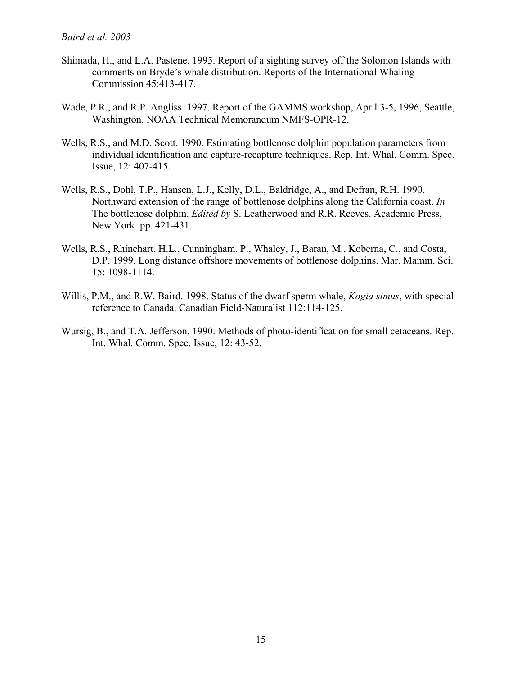- Shimada, H., and L.A. Pastene. 1995. Report of a sighting survey off the Solomon Islands with comments on Bryde's whale distribution. Reports of the International Whaling Commission 45:413-417.
- Wade, P.R., and R.P. Angliss. 1997. Report of the GAMMS workshop, April 3-5, 1996, Seattle, Washington. NOAA Technical Memorandum NMFS-OPR-12.
- Wells, R.S., and M.D. Scott. 1990. Estimating bottlenose dolphin population parameters from individual identification and capture-recapture techniques. Rep. Int. Whal. Comm. Spec. Issue, 12: 407-415.
- Wells, R.S., Dohl, T.P., Hansen, L.J., Kelly, D.L., Baldridge, A., and Defran, R.H. 1990. Northward extension of the range of bottlenose dolphins along the California coast. *In* The bottlenose dolphin. *Edited by* S. Leatherwood and R.R. Reeves. Academic Press, New York. pp. 421-431.
- Wells, R.S., Rhinehart, H.L., Cunningham, P., Whaley, J., Baran, M., Koberna, C., and Costa, D.P. 1999. Long distance offshore movements of bottlenose dolphins. Mar. Mamm. Sci. 15: 1098-1114.
- Willis, P.M., and R.W. Baird. 1998. Status of the dwarf sperm whale, *Kogia simus*, with special reference to Canada. Canadian Field-Naturalist 112:114-125.
- Wursig, B., and T.A. Jefferson. 1990. Methods of photo-identification for small cetaceans. Rep. Int. Whal. Comm. Spec. Issue, 12: 43-52.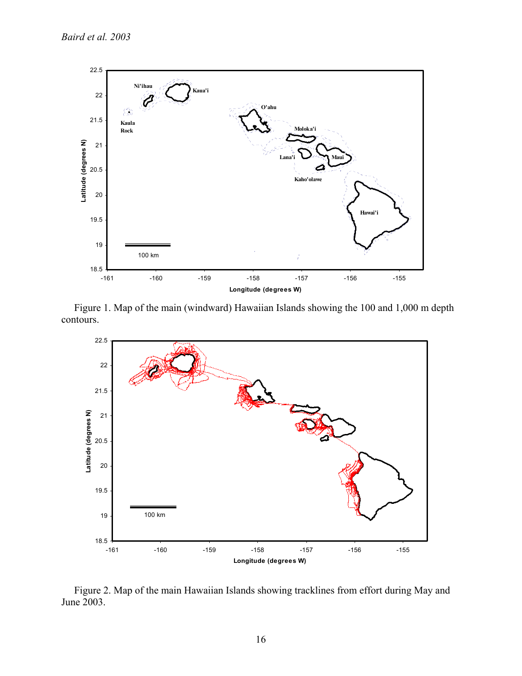

 Figure 1. Map of the main (windward) Hawaiian Islands showing the 100 and 1,000 m depth contours.



 Figure 2. Map of the main Hawaiian Islands showing tracklines from effort during May and June 2003.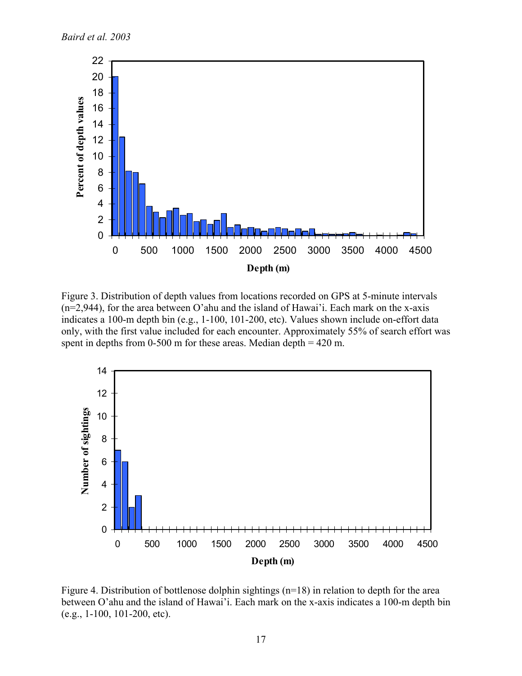

Figure 3. Distribution of depth values from locations recorded on GPS at 5-minute intervals (n=2,944), for the area between O'ahu and the island of Hawai'i. Each mark on the x-axis indicates a 100-m depth bin (e.g., 1-100, 101-200, etc). Values shown include on-effort data only, with the first value included for each encounter. Approximately 55% of search effort was spent in depths from  $0-500$  m for these areas. Median depth  $= 420$  m.



Figure 4. Distribution of bottlenose dolphin sightings (n=18) in relation to depth for the area between O'ahu and the island of Hawai'i. Each mark on the x-axis indicates a 100-m depth bin (e.g., 1-100, 101-200, etc).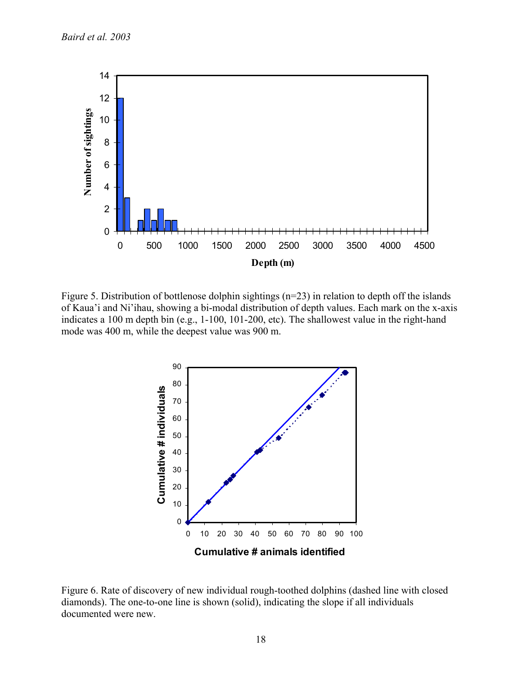

Figure 5. Distribution of bottlenose dolphin sightings (n=23) in relation to depth off the islands of Kaua'i and Ni'ihau, showing a bi-modal distribution of depth values. Each mark on the x-axis indicates a 100 m depth bin (e.g., 1-100, 101-200, etc). The shallowest value in the right-hand mode was 400 m, while the deepest value was 900 m.



Figure 6. Rate of discovery of new individual rough-toothed dolphins (dashed line with closed diamonds). The one-to-one line is shown (solid), indicating the slope if all individuals documented were new.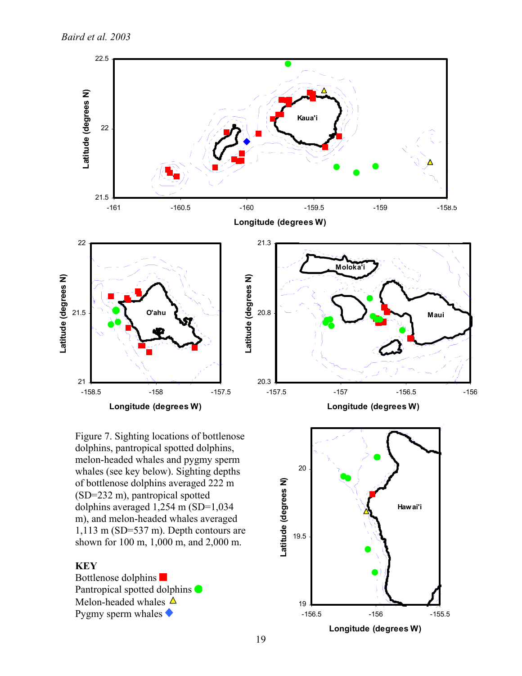

Figure 7. Sighting locations of bottlenose dolphins, pantropical spotted dolphins, melon-headed whales and pygmy sperm whales (see key below). Sighting depths of bottlenose dolphins averaged 222 m (SD=232 m), pantropical spotted dolphins averaged 1,254 m (SD=1,034 m), and melon-headed whales averaged 1,113 m (SD=537 m). Depth contours are shown for 100 m, 1,000 m, and 2,000 m.

# **KEY**

Bottlenose dolphins Pantropical spotted dolphins  $\bullet$ Melon-headed whales  $\Delta$ Pygmy sperm whales  $\blacklozenge$ 

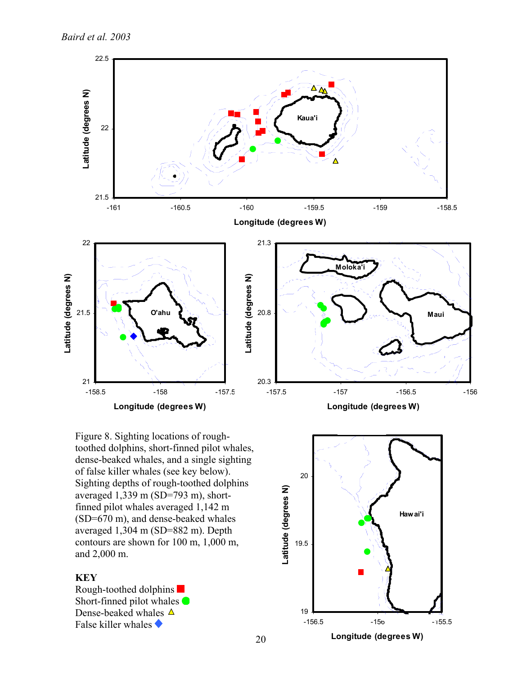

Figure 8. Sighting locations of roughtoothed dolphins, short-finned pilot whales, dense-beaked whales, and a single sighting of false killer whales (see key below). Sighting depths of rough-toothed dolphins averaged 1,339 m (SD=793 m), shortfinned pilot whales averaged 1,142 m (SD=670 m), and dense-beaked whales averaged 1,304 m (SD=882 m). Depth contours are shown for 100 m, 1,000 m, and 2,000 m.

# **KEY**

Rough-toothed dolphins Short-finned pilot whales  $\bigcirc$ Dense-beaked whales  $\Delta$ False killer whales  $\blacklozenge$ 

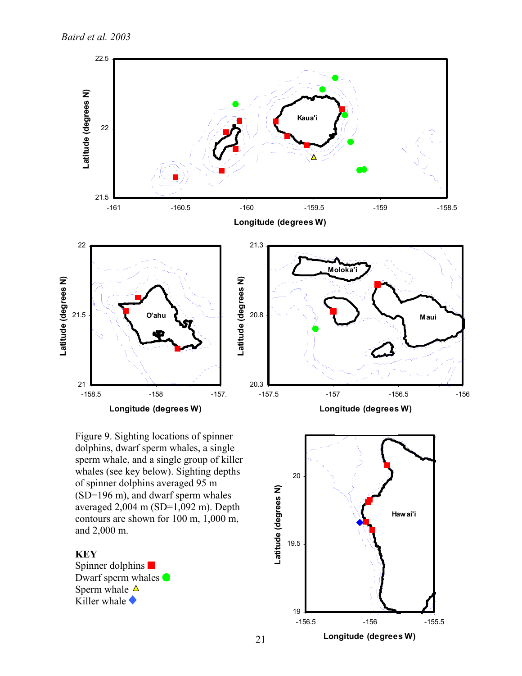

Figure 9. Sighting locations of spinner dolphins, dwarf sperm whales, a single sperm whale, and a single group of killer whales (see key below). Sighting depths of spinner dolphins averaged 95 m (SD=196 m), and dwarf sperm whales averaged 2,004 m (SD=1,092 m). Depth contours are shown for 100 m, 1,000 m, and 2,000 m.

# **KEY**

Spinner dolphins  $\blacksquare$ Dwarf sperm whales  $\bullet$ Sperm whale  $\Delta$ Killer whale  $\blacklozenge$ 

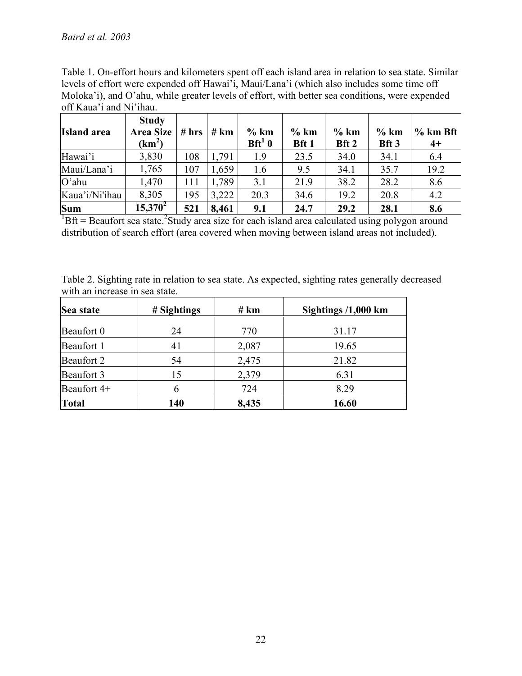Table 1. On-effort hours and kilometers spent off each island area in relation to sea state. Similar levels of effort were expended off Hawai'i, Maui/Lana'i (which also includes some time off Moloka'i), and O'ahu, while greater levels of effort, with better sea conditions, were expended off Kaua'i and Ni'ihau.

| <b>Island</b> area | <b>Study</b><br><b>Area Size</b><br>(km <sup>2</sup> ) | # hrs | # km  | $%$ km<br>$Bft^1$ 0 | $%$ km<br>Bft 1 | $%$ km<br>Bft 2 | $%$ km<br>Bft 3 | $%$ km Bft<br>$4+$ |
|--------------------|--------------------------------------------------------|-------|-------|---------------------|-----------------|-----------------|-----------------|--------------------|
| Hawai'i            | 3,830                                                  | 108   | 1,791 | 1.9                 | 23.5            | 34.0            | 34.1            | 6.4                |
| Maui/Lana'i        | 1,765                                                  | 107   | 1,659 | 1.6                 | 9.5             | 34.1            | 35.7            | 19.2               |
| $O'$ ahu           | 1,470                                                  | 111   | 1,789 | 3.1                 | 21.9            | 38.2            | 28.2            | 8.6                |
| Kaua'i/Ni'ihau     | 8,305                                                  | 195   | 3,222 | 20.3                | 34.6            | 19.2            | 20.8            | 4.2                |
| <b>Sum</b>         | $15,370^2$                                             | 521   | 8,461 | 9.1                 | 24.7            | 29.2            | 28.1            | 8.6                |

 ${}^{1}$ Bft = Beaufort sea state.<sup>2</sup>Study area size for each island area calculated using polygon around distribution of search effort (area covered when moving between island areas not included).

| Table 2. Sighting rate in relation to sea state. As expected, sighting rates generally decreased |  |  |
|--------------------------------------------------------------------------------------------------|--|--|
| with an increase in sea state.                                                                   |  |  |

| Sea state   | # Sightings | # km  | Sightings $/1,000$ km |
|-------------|-------------|-------|-----------------------|
| Beaufort 0  | 24          | 770   | 31.17                 |
| Beaufort 1  | 41          | 2,087 | 19.65                 |
| Beaufort 2  | 54          | 2,475 | 21.82                 |
| Beaufort 3  | 15          | 2,379 | 6.31                  |
| Beaufort 4+ |             | 724   | 8.29                  |
| Total       | 140         | 8,435 | 16.60                 |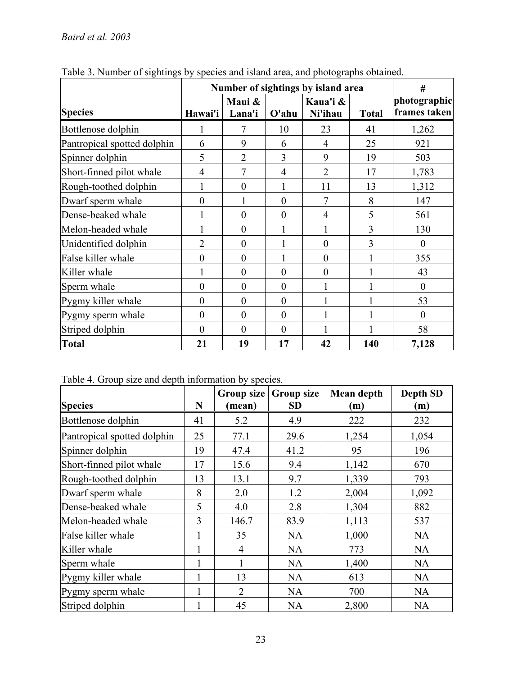|                             | Number of sightings by island area | #                |                  |                     |              |                              |
|-----------------------------|------------------------------------|------------------|------------------|---------------------|--------------|------------------------------|
| <b>Species</b>              | Hawai'i                            | Maui &<br>Lana'i | $O'$ ahu         | Kaua'i &<br>Ni'ihau | <b>Total</b> | photographic<br>frames taken |
| Bottlenose dolphin          |                                    | 7                | 10               | 23                  | 41           | 1,262                        |
| Pantropical spotted dolphin | 6                                  | 9                | 6                | 4                   | 25           | 921                          |
| Spinner dolphin             | 5                                  | $\overline{2}$   | 3                | 9                   | 19           | 503                          |
| Short-finned pilot whale    | $\overline{4}$                     | $\overline{7}$   | $\overline{4}$   | $\overline{2}$      | 17           | 1,783                        |
| Rough-toothed dolphin       | 1                                  | $\boldsymbol{0}$ |                  | 11                  | 13           | 1,312                        |
| Dwarf sperm whale           | $\boldsymbol{0}$                   |                  | $\boldsymbol{0}$ | $\overline{7}$      | 8            | 147                          |
| Dense-beaked whale          |                                    | $\theta$         | $\boldsymbol{0}$ | $\overline{4}$      | 5            | 561                          |
| Melon-headed whale          |                                    | $\theta$         |                  | 1                   | 3            | 130                          |
| Unidentified dolphin        | $\overline{2}$                     | $\theta$         |                  | $\boldsymbol{0}$    | 3            | $\theta$                     |
| False killer whale          | $\boldsymbol{0}$                   | $\boldsymbol{0}$ | 1                | $\boldsymbol{0}$    |              | 355                          |
| Killer whale                |                                    | $\theta$         | $\theta$         | $\boldsymbol{0}$    |              | 43                           |
| Sperm whale                 | $\boldsymbol{0}$                   | $\overline{0}$   | $\boldsymbol{0}$ | 1                   |              | $\boldsymbol{0}$             |
| Pygmy killer whale          | $\boldsymbol{0}$                   | $\overline{0}$   | $\boldsymbol{0}$ |                     |              | 53                           |
| Pygmy sperm whale           | $\boldsymbol{0}$                   | $\overline{0}$   | $\boldsymbol{0}$ | 1                   |              | $\boldsymbol{0}$             |
| Striped dolphin             | $\theta$                           | $\theta$         | $\theta$         | 1                   |              | 58                           |
| <b>Total</b>                | 21                                 | 19               | 17               | 42                  | 140          | 7,128                        |

Table 3. Number of sightings by species and island area, and photographs obtained.

Table 4. Group size and depth information by species.

| <b>Species</b>              | N            | Group size<br>(mean) | Group size<br><b>SD</b> | Mean depth<br>(m) | <b>Depth SD</b><br>(m) |
|-----------------------------|--------------|----------------------|-------------------------|-------------------|------------------------|
| Bottlenose dolphin          | 41           | 5.2                  | 4.9                     | 222               | 232                    |
| Pantropical spotted dolphin | 25           | 77.1                 | 29.6                    | 1,254             | 1,054                  |
| Spinner dolphin             | 19           | 47.4                 | 41.2                    | 95                | 196                    |
| Short-finned pilot whale    | 17           | 15.6                 | 9.4                     | 1,142             | 670                    |
| Rough-toothed dolphin       | 13           | 13.1                 | 9.7                     | 1,339             | 793                    |
| Dwarf sperm whale           | 8            | 2.0                  | 1.2                     | 2,004             | 1,092                  |
| Dense-beaked whale          | 5            | 4.0                  | 2.8                     | 1,304             | 882                    |
| Melon-headed whale          | 3            | 146.7                | 83.9                    | 1,113             | 537                    |
| False killer whale          | $\mathbf{1}$ | 35                   | <b>NA</b>               | 1,000             | <b>NA</b>              |
| Killer whale                | 1            | $\overline{4}$       | <b>NA</b>               | 773               | <b>NA</b>              |
| Sperm whale                 | 1            | 1                    | <b>NA</b>               | 1,400             | <b>NA</b>              |
| Pygmy killer whale          |              | 13                   | <b>NA</b>               | 613               | <b>NA</b>              |
| Pygmy sperm whale           | 1            | $\overline{2}$       | NA                      | 700               | <b>NA</b>              |
| Striped dolphin             |              | 45                   | <b>NA</b>               | 2,800             | <b>NA</b>              |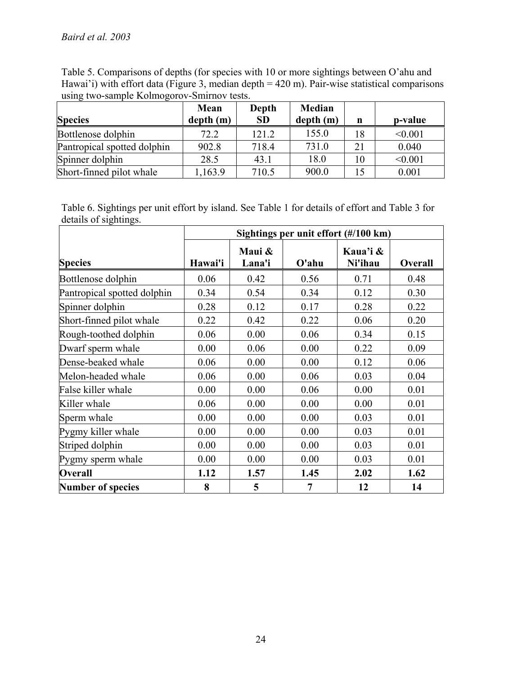Table 5. Comparisons of depths (for species with 10 or more sightings between O'ahu and Hawai'i) with effort data (Figure 3, median depth = 420 m). Pair-wise statistical comparisons using two-sample Kolmogorov-Smirnov tests.

| <b>Species</b>              | Mean<br>depth(m) | Depth<br><b>SD</b> | Median<br>depth(m) | n  | p-value |
|-----------------------------|------------------|--------------------|--------------------|----|---------|
| Bottlenose dolphin          | 72.2             | 121.2              | 155.0              | 18 | < 0.001 |
| Pantropical spotted dolphin | 902.8            | 718.4              | 731.0              | 21 | 0.040   |
| Spinner dolphin             | 28.5             | 43.1               | 18.0               | 10 | < 0.001 |
| Short-finned pilot whale    | ,163.9           | 710.5              | 900.0              | 15 | 0.001   |

Table 6. Sightings per unit effort by island. See Table 1 for details of effort and Table 3 for details of sightings.

|                             | Sightings per unit effort (#/100 km) |                  |          |                     |         |  |  |  |
|-----------------------------|--------------------------------------|------------------|----------|---------------------|---------|--|--|--|
| <b>Species</b>              | Hawai'i                              | Maui &<br>Lana'i | $O'$ ahu | Kaua'i &<br>Ni'ihau | Overall |  |  |  |
| Bottlenose dolphin          | 0.06                                 | 0.42             | 0.56     | 0.71                | 0.48    |  |  |  |
| Pantropical spotted dolphin | 0.34                                 | 0.54             | 0.34     | 0.12                | 0.30    |  |  |  |
| Spinner dolphin             | 0.28                                 | 0.12             | 0.17     | 0.28                | 0.22    |  |  |  |
| Short-finned pilot whale    | 0.22                                 | 0.42             | 0.22     | 0.06                | 0.20    |  |  |  |
| Rough-toothed dolphin       | 0.06                                 | 0.00             | 0.06     | 0.34                | 0.15    |  |  |  |
| Dwarf sperm whale           | 0.00                                 | 0.06             | 0.00     | 0.22                | 0.09    |  |  |  |
| Dense-beaked whale          | 0.06                                 | 0.00             | 0.00     | 0.12                | 0.06    |  |  |  |
| Melon-headed whale          | 0.06                                 | 0.00             | 0.06     | 0.03                | 0.04    |  |  |  |
| False killer whale          | 0.00                                 | 0.00             | 0.06     | 0.00                | 0.01    |  |  |  |
| Killer whale                | 0.06                                 | 0.00             | 0.00     | 0.00                | 0.01    |  |  |  |
| Sperm whale                 | 0.00                                 | 0.00             | 0.00     | 0.03                | 0.01    |  |  |  |
| Pygmy killer whale          | 0.00                                 | 0.00             | 0.00     | 0.03                | 0.01    |  |  |  |
| Striped dolphin             | 0.00                                 | 0.00             | 0.00     | 0.03                | 0.01    |  |  |  |
| Pygmy sperm whale           | 0.00                                 | 0.00             | 0.00     | 0.03                | 0.01    |  |  |  |
| <b>Overall</b>              | 1.12                                 | 1.57             | 1.45     | 2.02                | 1.62    |  |  |  |
| <b>Number of species</b>    | 8                                    | 5                | 7        | 12                  | 14      |  |  |  |